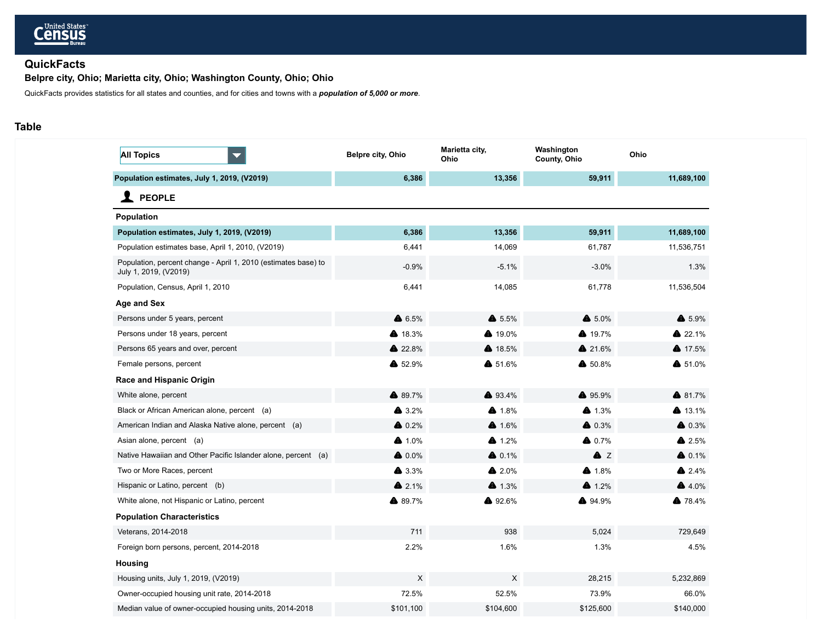

# **QuickFacts**

**Belpre city, Ohio; Marietta city, Ohio; Washington County, Ohio; Ohio**

QuickFacts provides statistics for all states and counties, and for cities and towns with a *population of 5,000 or more*.

# **Table**

| <b>All Topics</b><br>$\blacktriangledown$                                               | Belpre city, Ohio | Marietta city,<br>Ohio | Washington<br>County, Ohio | Ohio             |
|-----------------------------------------------------------------------------------------|-------------------|------------------------|----------------------------|------------------|
| Population estimates, July 1, 2019, (V2019)                                             | 6,386             | 13,356                 | 59,911                     | 11,689,100       |
| <b>PEOPLE</b>                                                                           |                   |                        |                            |                  |
| Population                                                                              |                   |                        |                            |                  |
| Population estimates, July 1, 2019, (V2019)                                             | 6,386             | 13,356                 | 59,911                     | 11,689,100       |
| Population estimates base, April 1, 2010, (V2019)                                       | 6,441             | 14,069                 | 61,787                     | 11,536,751       |
| Population, percent change - April 1, 2010 (estimates base) to<br>July 1, 2019, (V2019) | $-0.9%$           | $-5.1%$                | $-3.0%$                    | 1.3%             |
| Population, Census, April 1, 2010                                                       | 6,441             | 14,085                 | 61,778                     | 11,536,504       |
| Age and Sex                                                                             |                   |                        |                            |                  |
| Persons under 5 years, percent                                                          | ▲ 6.5%            | $\bullet$ 5.5%         | $6.0\%$                    | ▲ 5.9%           |
| Persons under 18 years, percent                                                         | ▲ 18.3%           | ▲ 19.0%                | ▲ 19.7%                    | ▲ 22.1%          |
| Persons 65 years and over, percent                                                      | ▲ 22.8%           | ▲ 18.5%                | ▲ 21.6%                    | 417.5%           |
| Female persons, percent                                                                 | ▲ 52.9%           | ▲ 51.6%                | ▲ 50.8%                    | $$51.0\%$        |
| Race and Hispanic Origin                                                                |                   |                        |                            |                  |
| White alone, percent                                                                    | ▲ 89.7%           | ▲ 93.4%                | ▲ 95.9%                    | ▲ 81.7%          |
| Black or African American alone, percent (a)                                            | $\triangle$ 3.2%  | ▲ 1.8%                 | $4.3\%$                    | ▲ 13.1%          |
| American Indian and Alaska Native alone, percent (a)                                    | $\triangle$ 0.2%  | $4.6\%$                | $\triangle$ 0.3%           | $\triangle$ 0.3% |
| Asian alone, percent (a)                                                                | $4.0\%$           | $4.2\%$                | $\bullet$ 0.7%             | $\bullet$ 2.5%   |
| Native Hawaiian and Other Pacific Islander alone, percent (a)                           | $\bullet$ 0.0%    | $6.1\%$                | A Z                        | $6.1\%$          |
| Two or More Races, percent                                                              | $\bullet$ 3.3%    | ▲ 2.0%                 | ▲ 1.8%                     | $2.4\%$          |
| Hispanic or Latino, percent (b)                                                         | ▲ 2.1%            | $4.3\%$                | $4.2\%$                    | $4.0\%$          |
| White alone, not Hispanic or Latino, percent                                            | ▲ 89.7%           | ▲ 92.6%                | ▲ 94.9%                    | ▲ 78.4%          |
| <b>Population Characteristics</b>                                                       |                   |                        |                            |                  |
| Veterans, 2014-2018                                                                     | 711               | 938                    | 5,024                      | 729,649          |
| Foreign born persons, percent, 2014-2018                                                | 2.2%              | 1.6%                   | 1.3%                       | 4.5%             |
| <b>Housing</b>                                                                          |                   |                        |                            |                  |
| Housing units, July 1, 2019, (V2019)                                                    | X                 | X                      | 28,215                     | 5,232,869        |
| Owner-occupied housing unit rate, 2014-2018                                             | 72.5%             | 52.5%                  | 73.9%                      | 66.0%            |
| Median value of owner-occupied housing units, 2014-2018                                 | \$101,100         | \$104,600              | \$125,600                  | \$140,000        |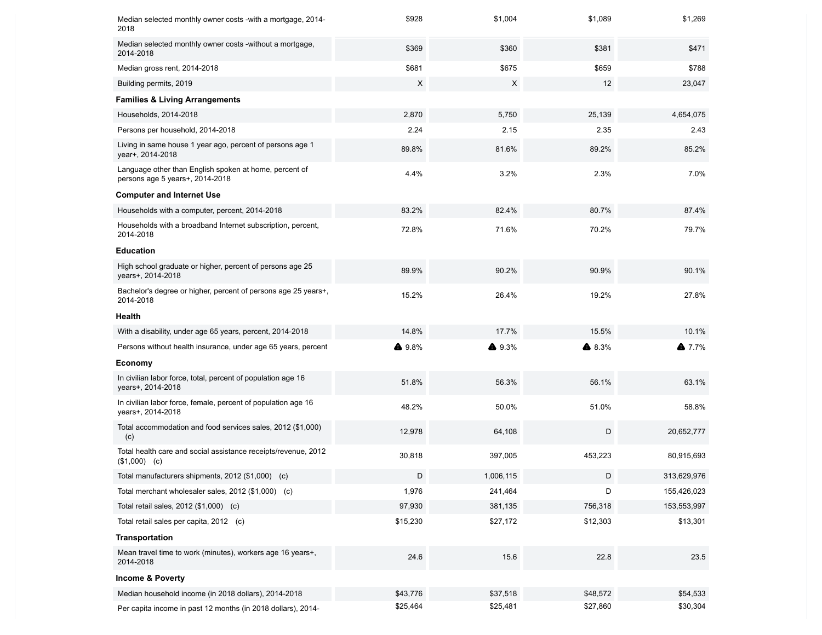| Median selected monthly owner costs - with a mortgage, 2014-<br>2018                      | \$928    | \$1,004   | \$1,089  | \$1,269     |
|-------------------------------------------------------------------------------------------|----------|-----------|----------|-------------|
| Median selected monthly owner costs -without a mortgage,<br>2014-2018                     | \$369    | \$360     | \$381    | \$471       |
| Median gross rent, 2014-2018                                                              | \$681    | \$675     | \$659    | \$788       |
| Building permits, 2019                                                                    | X        | X         | 12       | 23,047      |
| <b>Families &amp; Living Arrangements</b>                                                 |          |           |          |             |
| Households, 2014-2018                                                                     | 2,870    | 5,750     | 25,139   | 4,654,075   |
| Persons per household, 2014-2018                                                          | 2.24     | 2.15      | 2.35     | 2.43        |
| Living in same house 1 year ago, percent of persons age 1<br>year+, 2014-2018             | 89.8%    | 81.6%     | 89.2%    | 85.2%       |
| Language other than English spoken at home, percent of<br>persons age 5 years+, 2014-2018 | 4.4%     | 3.2%      | 2.3%     | 7.0%        |
| <b>Computer and Internet Use</b>                                                          |          |           |          |             |
| Households with a computer, percent, 2014-2018                                            | 83.2%    | 82.4%     | 80.7%    | 87.4%       |
| Households with a broadband Internet subscription, percent,<br>2014-2018                  | 72.8%    | 71.6%     | 70.2%    | 79.7%       |
| <b>Education</b>                                                                          |          |           |          |             |
| High school graduate or higher, percent of persons age 25<br>years+, 2014-2018            | 89.9%    | 90.2%     | 90.9%    | 90.1%       |
| Bachelor's degree or higher, percent of persons age 25 years+,<br>2014-2018               | 15.2%    | 26.4%     | 19.2%    | 27.8%       |
| Health                                                                                    |          |           |          |             |
| With a disability, under age 65 years, percent, 2014-2018                                 | 14.8%    | 17.7%     | 15.5%    | 10.1%       |
| Persons without health insurance, under age 65 years, percent                             | ▲ 9.8%   | ▲ 9.3%    | ▲ 8.3%   | $4.7.7\%$   |
| Economy                                                                                   |          |           |          |             |
| In civilian labor force, total, percent of population age 16<br>years+, 2014-2018         | 51.8%    | 56.3%     | 56.1%    | 63.1%       |
| In civilian labor force, female, percent of population age 16<br>years+, 2014-2018        | 48.2%    | 50.0%     | 51.0%    | 58.8%       |
| Total accommodation and food services sales, 2012 (\$1,000)<br>(c)                        | 12,978   | 64,108    | D        | 20,652,777  |
| Total health care and social assistance receipts/revenue, 2012<br>$($1,000)$ (c)          | 30,818   | 397,005   | 453,223  | 80,915,693  |
| Total manufacturers shipments, 2012 (\$1,000) (c)                                         | D        | 1,006,115 | D        | 313.629.976 |
| Total merchant wholesaler sales, 2012 (\$1,000) (c)                                       | 1,976    | 241,464   | D        | 155,426,023 |
| Total retail sales, 2012 (\$1,000) (c)                                                    | 97,930   | 381,135   | 756,318  | 153,553,997 |
| Total retail sales per capita, 2012 (c)                                                   | \$15,230 | \$27,172  | \$12,303 | \$13,301    |
| <b>Transportation</b>                                                                     |          |           |          |             |
| Mean travel time to work (minutes), workers age 16 years+,<br>2014-2018                   | 24.6     | 15.6      | 22.8     | 23.5        |
| <b>Income &amp; Poverty</b>                                                               |          |           |          |             |
| Median household income (in 2018 dollars), 2014-2018                                      | \$43,776 | \$37,518  | \$48,572 | \$54,533    |
| Per capita income in past 12 months (in 2018 dollars), 2014-                              | \$25,464 | \$25,481  | \$27,860 | \$30,304    |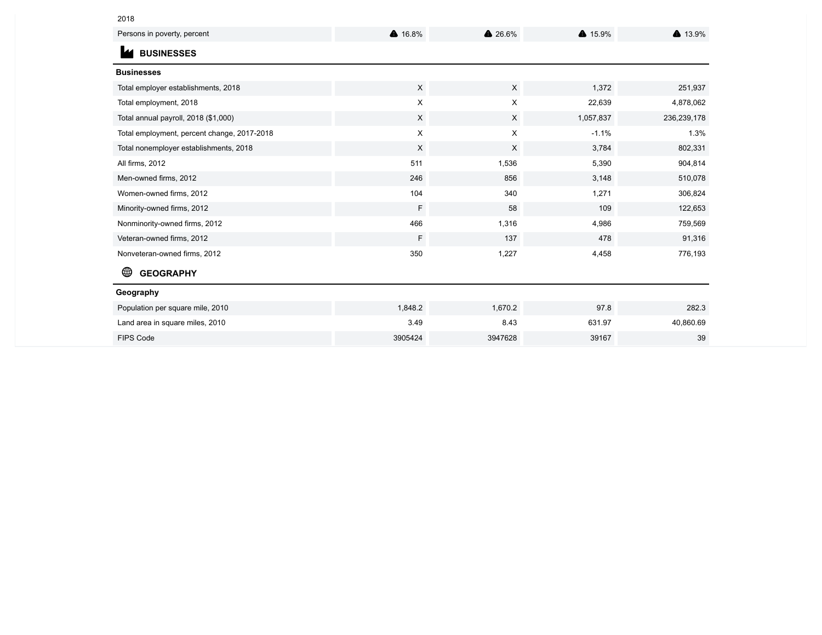# 2018

| Persons in poverty, percent                 | ▲ 16.8%  | ▲ 26.6%  | ▲ 15.9%   | ▲ 13.9%     |
|---------------------------------------------|----------|----------|-----------|-------------|
| <b>BUSINESSES</b>                           |          |          |           |             |
| <b>Businesses</b>                           |          |          |           |             |
| Total employer establishments, 2018         | $\times$ | $\times$ | 1,372     | 251,937     |
| Total employment, 2018                      | X        | X        | 22,639    | 4,878,062   |
| Total annual payroll, 2018 (\$1,000)        | X        | $\times$ | 1,057,837 | 236,239,178 |
| Total employment, percent change, 2017-2018 | X        | X        | $-1.1%$   | 1.3%        |
| Total nonemployer establishments, 2018      | X        | X        | 3,784     | 802,331     |
| All firms, 2012                             | 511      | 1,536    | 5,390     | 904,814     |
| Men-owned firms, 2012                       | 246      | 856      | 3,148     | 510,078     |
| Women-owned firms, 2012                     | 104      | 340      | 1,271     | 306,824     |
| Minority-owned firms, 2012                  | F        | 58       | 109       | 122,653     |
| Nonminority-owned firms, 2012               | 466      | 1,316    | 4,986     | 759,569     |
| Veteran-owned firms, 2012                   | F        | 137      | 478       | 91,316      |
| Nonveteran-owned firms, 2012                | 350      | 1,227    | 4,458     | 776,193     |
| <b>GEOGRAPHY</b>                            |          |          |           |             |
| Geography                                   |          |          |           |             |
| Population per square mile, 2010            | 1,848.2  | 1,670.2  | 97.8      | 282.3       |
| Land area in square miles, 2010             | 3.49     | 8.43     | 631.97    | 40,860.69   |
| <b>FIPS Code</b>                            | 3905424  | 3947628  | 39167     | 39          |